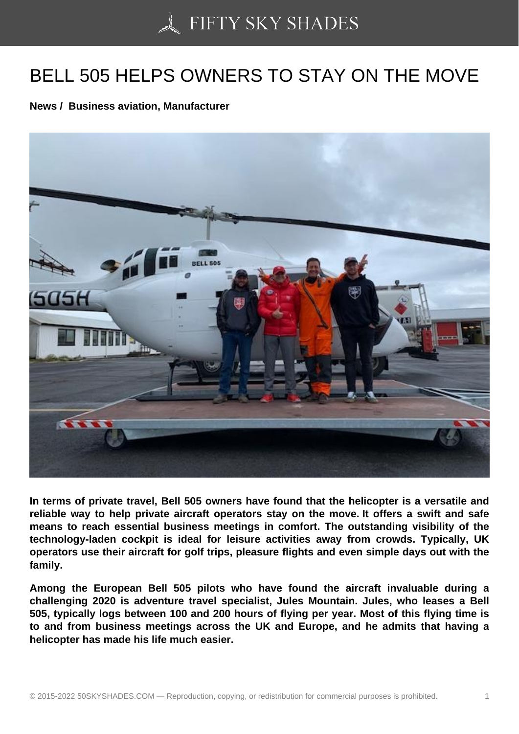## [BELL 505 HELPS OWN](https://50skyshades.com)ERS TO STAY ON THE MOVE

News / Business aviation, Manufacturer

In terms of private travel, Bell 505 owners have found that the helicopter is a versatile and reliable way to help private aircraft operators stay on the move. It offers a swift and safe means to reach essential business meetings in comfort. The outstanding visibility of the technology-laden cockpit is ideal for leisure activities away from crowds. Typically, UK operators use their aircraft for golf trips, pleasure flights and even simple days out with the family.

Among the European Bell 505 pilots who have found the aircraft invaluable during a challenging 2020 is adventure travel specialist, Jules Mountain. Jules, who leases a Bell 505, typically logs between 100 and 200 hours of flying per year. Most of this flying time is to and from business meetings across the UK and Europe, and he admits that having a helicopter has made his life much easier.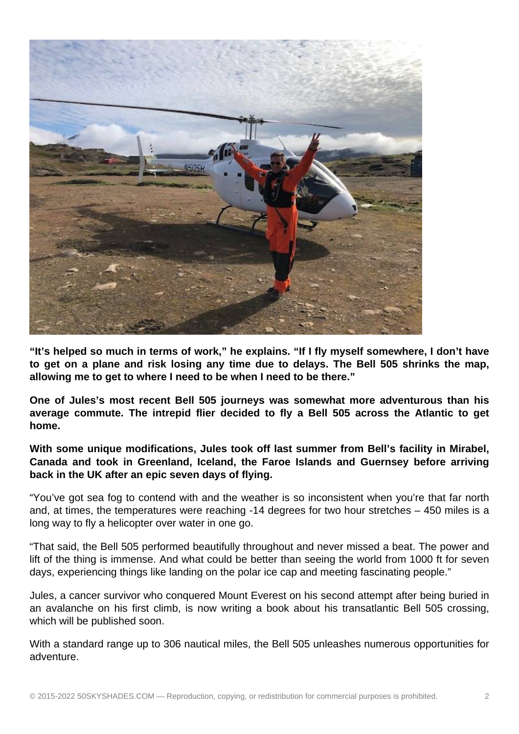

**"It's helped so much in terms of work," he explains. "If I fly myself somewhere, I don't have to get on a plane and risk losing any time due to delays. The Bell 505 shrinks the map, allowing me to get to where I need to be when I need to be there."**

**One of Jules's most recent Bell 505 journeys was somewhat more adventurous than his average commute. The intrepid flier decided to fly a Bell 505 across the Atlantic to get home.**

**With some unique modifications, Jules took off last summer from Bell's facility in Mirabel, Canada and took in Greenland, Iceland, the Faroe Islands and Guernsey before arriving back in the UK after an epic seven days of flying.**

"You've got sea fog to contend with and the weather is so inconsistent when you're that far north and, at times, the temperatures were reaching -14 degrees for two hour stretches – 450 miles is a long way to fly a helicopter over water in one go.

"That said, the Bell 505 performed beautifully throughout and never missed a beat. The power and lift of the thing is immense. And what could be better than seeing the world from 1000 ft for seven days, experiencing things like landing on the polar ice cap and meeting fascinating people."

Jules, a cancer survivor who conquered Mount Everest on his second attempt after being buried in an avalanche on his first climb, is now writing a book about his transatlantic Bell 505 crossing, which will be published soon.

With a standard range up to 306 nautical miles, the Bell 505 unleashes numerous opportunities for adventure.